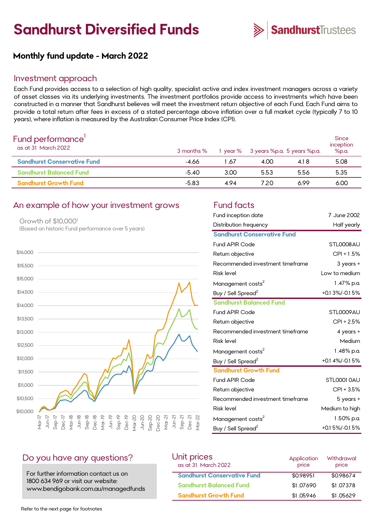# **Sandhurst Diversified Funds**



## **Monthly fund update - March 2022**

#### Investment approach

Each Fund provides access to a selection of high quality, specialist active and index investment managers across a variety of asset classes via its underlying investments. The investment portfolios provide access to investments which have been constructed in a manner that Sandhurst believes will meet the investment return objective of each Fund. Each Fund aims to provide a total return after fees in excess of a stated percentage above inflation over a full market cycle (typically 7 to 10 years), where inflation is measured by the Australian Consumer Price Index (CPI).

| Fund performance'<br>as at 31 March 2022 | 3 months % |      |      | 1 year % 3 years %p.a. 5 years %p.a. | <b>Since</b><br>inception<br>%p.a. |
|------------------------------------------|------------|------|------|--------------------------------------|------------------------------------|
| <b>Sandhurst Conservative Fund</b>       | -4.66      | 1.67 | 4.00 | 4.18                                 | 5.08                               |
| <b>Sandhurst Balanced Fund</b>           | -5.40      | 3.00 | 5.53 | 5.56                                 | 5.35                               |
| <b>Sandhurst Growth Fund</b>             | $-5.83$    | 494  | 720  | 6.99                                 | 6.00                               |

### An example of how your investment grows Fund facts

Growth of \$10,000<sup>1</sup> (Based on historic Fund performance over 5 years)



| Fund inception date                | 7 June 2002      |
|------------------------------------|------------------|
| Distribution frequency             | Half yearly      |
| <b>Sandhurst Conservative Fund</b> |                  |
| <b>Fund APIR Code</b>              | STL0008AU        |
| Return objective                   | $CPI + 1.5%$     |
| Recommended investment timeframe   | 3 years +        |
| <b>Risk level</b>                  | Low to medium    |
| Management costs <sup>2</sup>      | 1.47% p.a.       |
| Buy / Sell Spread <sup>2</sup>     | $+0.13\%/0.15\%$ |
| <b>Sandhurst Balanced Fund</b>     |                  |
| <b>Fund APIR Code</b>              | STL0009AU        |
| Return objective                   | $CPI + 2.5%$     |
| Recommended investment timeframe   | $4$ years +      |
| <b>Risk level</b>                  | Medium           |
| Management costs <sup>2</sup>      | 1.48% p.a.       |
| Buy / Sell Spread <sup>2</sup>     | +0.1 4%/-0.1 5%  |
| <b>Sandhurst Growth Fund</b>       |                  |
| <b>Fund APIR Code</b>              | STLOOO1 OAU      |
| Return objective                   | CPI + 3.5%       |
| Recommended investment timeframe   | $5$ years $+$    |
| <b>Risk level</b>                  | Medium to high   |
| Management costs <sup>2</sup>      | 1.50% p.a.       |
| Buy / Sell Spread <sup>2</sup>     | $+0.15\%/0.15\%$ |

#### Do you have any questions?

For further information contact us on 1800 634 969 or visit our website: www.bendigobank.com.au/managedfunds

| Unit prices<br>as at 31 March 2022 | Application<br>price | Withdrawal<br>price |
|------------------------------------|----------------------|---------------------|
| <b>Sandhurst Conservative Fund</b> | \$0.98951            | \$0.98674           |
| <b>Sandhurst Balanced Fund</b>     | \$1,07690            | \$1,07378           |
| <b>Sandhurst Growth Fund</b>       | \$1.05946            | \$1.05629           |